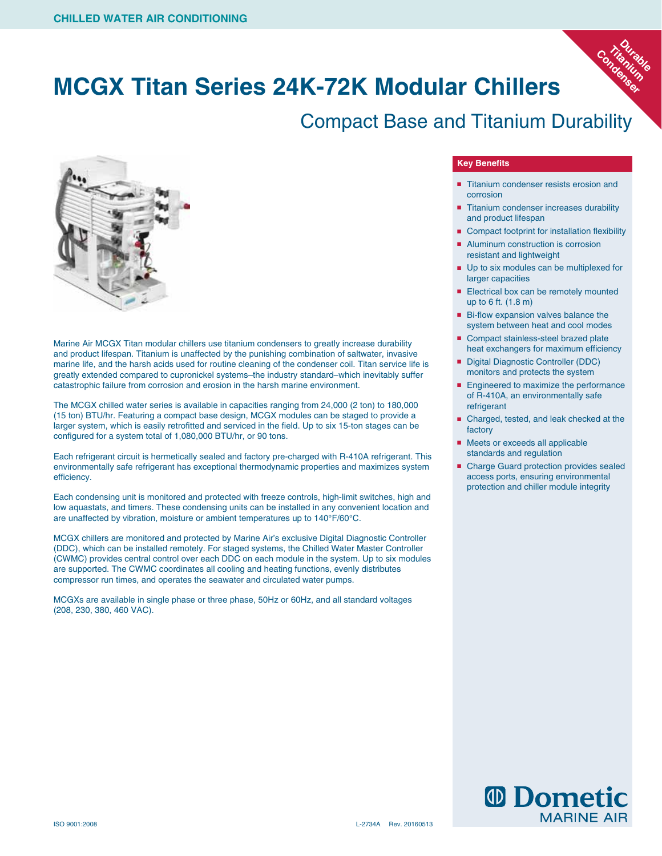### **MCGX Titan Series 24K-72K Modular Chillers**

#### Compact Base and Titanium Durability



Marine Air MCGX Titan modular chillers use titanium condensers to greatly increase durability and product lifespan. Titanium is unaffected by the punishing combination of saltwater, invasive marine life, and the harsh acids used for routine cleaning of the condenser coil. Titan service life is greatly extended compared to cupronickel systems–the industry standard–which inevitably suffer catastrophic failure from corrosion and erosion in the harsh marine environment.

The MCGX chilled water series is available in capacities ranging from 24,000 (2 ton) to 180,000 (15 ton) BTU/hr. Featuring a compact base design, MCGX modules can be staged to provide a larger system, which is easily retrofitted and serviced in the field. Up to six 15-ton stages can be configured for a system total of 1,080,000 BTU/hr, or 90 tons.

Each refrigerant circuit is hermetically sealed and factory pre-charged with R-410A refrigerant. This environmentally safe refrigerant has exceptional thermodynamic properties and maximizes system efficiency.

Each condensing unit is monitored and protected with freeze controls, high-limit switches, high and low aquastats, and timers. These condensing units can be installed in any convenient location and are unaffected by vibration, moisture or ambient temperatures up to 140°F/60°C.

MCGX chillers are monitored and protected by Marine Air's exclusive Digital Diagnostic Controller (DDC), which can be installed remotely. For staged systems, the Chilled Water Master Controller (CWMC) provides central control over each DDC on each module in the system. Up to six modules are supported. The CWMC coordinates all cooling and heating functions, evenly distributes compressor run times, and operates the seawater and circulated water pumps.

MCGXs are available in single phase or three phase, 50Hz or 60Hz, and all standard voltages (208, 230, 380, 460 VAC).

#### **Key Benefits**

■ Titanium condenser resists erosion and corrosion

**Durable**<br>anitable **Titanium**  Condenium

- Titanium condenser increases durability and product lifespan
- Compact footprint for installation flexibility
- Aluminum construction is corrosion resistant and lightweight
- Up to six modules can be multiplexed for larger capacities
- Electrical box can be remotely mounted up to 6 ft. (1.8 m)
- Bi-flow expansion valves balance the system between heat and cool modes
- Compact stainless-steel brazed plate heat exchangers for maximum efficiency
- Digital Diagnostic Controller (DDC) monitors and protects the system
- Engineered to maximize the performance of R-410A, an environmentally safe refrigerant
- Charged, tested, and leak checked at the factory
- Meets or exceeds all applicable standards and regulation
- Charge Guard protection provides sealed access ports, ensuring environmental protection and chiller module integrity